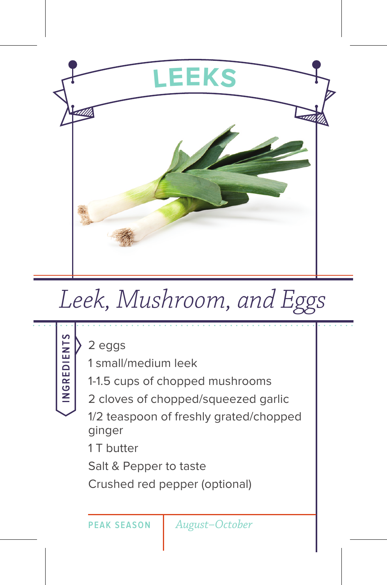

## *Leek, Mushroom, and Eggs*

**INGREDIENTS** 2 eggs 1 small/medium leek 1-1.5 cups of chopped mushrooms 2 cloves of chopped/squeezed garlic 1/2 teaspoon of freshly grated/chopped ginger 1 T butter Salt & Pepper to taste Crushed red pepper (optional) **PEAK SEASON** *August–October*